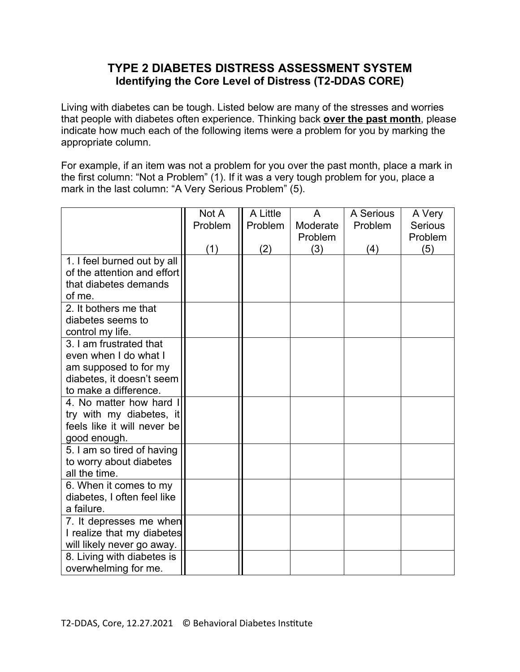## **TYPE 2 DIABETES DISTRESS ASSESSMENT SYSTEM Identifying the Core Level of Distress (T2-DDAS CORE)**

Living with diabetes can be tough. Listed below are many of the stresses and worries that people with diabetes often experience. Thinking back **over the past month**, please indicate how much each of the following items were a problem for you by marking the appropriate column.

For example, if an item was not a problem for you over the past month, place a mark in the first column: "Not a Problem" (1). If it was a very tough problem for you, place a mark in the last column: "A Very Serious Problem" (5).

|                             | Not A   | A Little | A        | A Serious | A Very         |
|-----------------------------|---------|----------|----------|-----------|----------------|
|                             | Problem | Problem  | Moderate | Problem   | <b>Serious</b> |
|                             |         |          | Problem  |           | Problem        |
|                             | (1)     | (2)      | (3)      | (4)       | (5)            |
| 1. I feel burned out by all |         |          |          |           |                |
| of the attention and effort |         |          |          |           |                |
| that diabetes demands       |         |          |          |           |                |
| of me.                      |         |          |          |           |                |
| 2. It bothers me that       |         |          |          |           |                |
| diabetes seems to           |         |          |          |           |                |
| control my life.            |         |          |          |           |                |
| 3. I am frustrated that     |         |          |          |           |                |
| even when I do what I       |         |          |          |           |                |
| am supposed to for my       |         |          |          |           |                |
| diabetes, it doesn't seem   |         |          |          |           |                |
| to make a difference.       |         |          |          |           |                |
| 4. No matter how hard       |         |          |          |           |                |
| try with my diabetes, it    |         |          |          |           |                |
| feels like it will never be |         |          |          |           |                |
| good enough.                |         |          |          |           |                |
| 5. I am so tired of having  |         |          |          |           |                |
| to worry about diabetes     |         |          |          |           |                |
| all the time.               |         |          |          |           |                |
| 6. When it comes to my      |         |          |          |           |                |
| diabetes, I often feel like |         |          |          |           |                |
| a failure.                  |         |          |          |           |                |
| 7. It depresses me when     |         |          |          |           |                |
| I realize that my diabetes  |         |          |          |           |                |
| will likely never go away.  |         |          |          |           |                |
| 8. Living with diabetes is  |         |          |          |           |                |
| overwhelming for me.        |         |          |          |           |                |